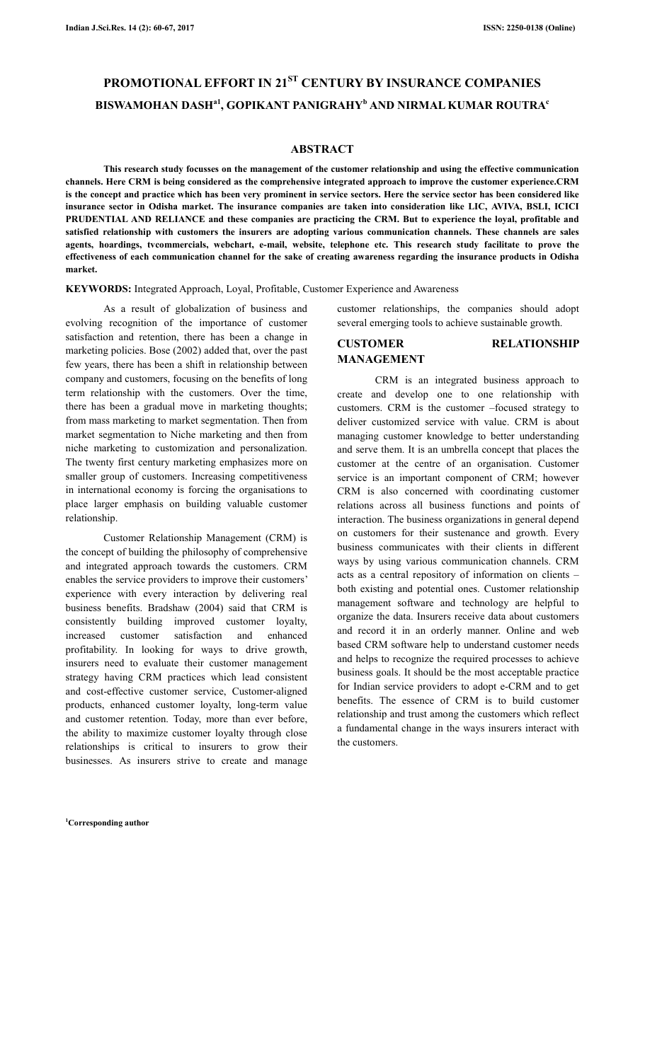# **PROMOTIONAL EFFORT IN 21ST CENTURY BY INSURANCE COMPANIES BISWAMOHAN DASHa1, GOPIKANT PANIGRAHY<sup>b</sup> AND NIRMAL KUMAR ROUTRA<sup>c</sup>**

## **ABSTRACT**

 **This research study focusses on the management of the customer relationship and using the effective communication channels. Here CRM is being considered as the comprehensive integrated approach to improve the customer experience.CRM is the concept and practice which has been very prominent in service sectors. Here the service sector has been considered like insurance sector in Odisha market. The insurance companies are taken into consideration like LIC, AVIVA, BSLI, ICICI PRUDENTIAL AND RELIANCE and these companies are practicing the CRM. But to experience the loyal, profitable and satisfied relationship with customers the insurers are adopting various communication channels. These channels are sales agents, hoardings, tvcommercials, webchart, e-mail, website, telephone etc. This research study facilitate to prove the effectiveness of each communication channel for the sake of creating awareness regarding the insurance products in Odisha market.** 

**KEYWORDS:** Integrated Approach, Loyal, Profitable, Customer Experience and Awareness

 As a result of globalization of business and evolving recognition of the importance of customer satisfaction and retention, there has been a change in marketing policies. Bose (2002) added that, over the past few years, there has been a shift in relationship between company and customers, focusing on the benefits of long term relationship with the customers. Over the time, there has been a gradual move in marketing thoughts; from mass marketing to market segmentation. Then from market segmentation to Niche marketing and then from niche marketing to customization and personalization. The twenty first century marketing emphasizes more on smaller group of customers. Increasing competitiveness in international economy is forcing the organisations to place larger emphasis on building valuable customer relationship.

 Customer Relationship Management (CRM) is the concept of building the philosophy of comprehensive and integrated approach towards the customers. CRM enables the service providers to improve their customers' experience with every interaction by delivering real business benefits. Bradshaw (2004) said that CRM is consistently building improved customer loyalty, increased customer satisfaction and enhanced profitability. In looking for ways to drive growth, insurers need to evaluate their customer management strategy having CRM practices which lead consistent and cost-effective customer service, Customer-aligned products, enhanced customer loyalty, long-term value and customer retention. Today, more than ever before, the ability to maximize customer loyalty through close relationships is critical to insurers to grow their businesses. As insurers strive to create and manage

**<sup>1</sup>Corresponding author**

customer relationships, the companies should adopt several emerging tools to achieve sustainable growth.

# **CUSTOMER RELATIONSHIP MANAGEMENT**

 CRM is an integrated business approach to create and develop one to one relationship with customers. CRM is the customer –focused strategy to deliver customized service with value. CRM is about managing customer knowledge to better understanding and serve them. It is an umbrella concept that places the customer at the centre of an organisation. Customer service is an important component of CRM; however CRM is also concerned with coordinating customer relations across all business functions and points of interaction. The business organizations in general depend on customers for their sustenance and growth. Every business communicates with their clients in different ways by using various communication channels. CRM acts as a central repository of information on clients – both existing and potential ones. Customer relationship management software and technology are helpful to organize the data. Insurers receive data about customers and record it in an orderly manner. Online and web based CRM software help to understand customer needs and helps to recognize the required processes to achieve business goals. It should be the most acceptable practice for Indian service providers to adopt e-CRM and to get benefits. The essence of CRM is to build customer relationship and trust among the customers which reflect a fundamental change in the ways insurers interact with the customers.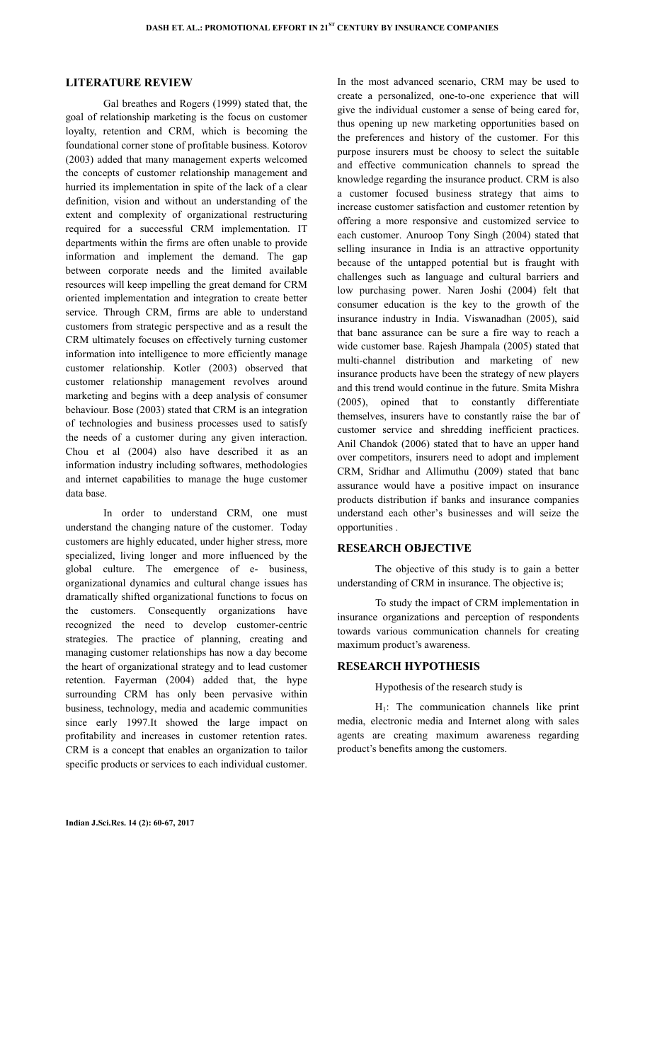## **LITERATURE REVIEW**

 Gal breathes and Rogers (1999) stated that, the goal of relationship marketing is the focus on customer loyalty, retention and CRM, which is becoming the foundational corner stone of profitable business. Kotorov (2003) added that many management experts welcomed the concepts of customer relationship management and hurried its implementation in spite of the lack of a clear definition, vision and without an understanding of the extent and complexity of organizational restructuring required for a successful CRM implementation. IT departments within the firms are often unable to provide information and implement the demand. The gap between corporate needs and the limited available resources will keep impelling the great demand for CRM oriented implementation and integration to create better service. Through CRM, firms are able to understand customers from strategic perspective and as a result the CRM ultimately focuses on effectively turning customer information into intelligence to more efficiently manage customer relationship. Kotler (2003) observed that customer relationship management revolves around marketing and begins with a deep analysis of consumer behaviour. Bose (2003) stated that CRM is an integration of technologies and business processes used to satisfy the needs of a customer during any given interaction. Chou et al (2004) also have described it as an information industry including softwares, methodologies and internet capabilities to manage the huge customer data base.

In order to understand CRM, one must understand the changing nature of the customer. Today customers are highly educated, under higher stress, more specialized, living longer and more influenced by the global culture. The emergence of e- business, organizational dynamics and cultural change issues has dramatically shifted organizational functions to focus on the customers. Consequently organizations have recognized the need to develop customer-centric strategies. The practice of planning, creating and managing customer relationships has now a day become the heart of organizational strategy and to lead customer retention. Fayerman (2004) added that, the hype surrounding CRM has only been pervasive within business, technology, media and academic communities since early 1997.It showed the large impact on profitability and increases in customer retention rates. CRM is a concept that enables an organization to tailor specific products or services to each individual customer.

create a personalized, one-to-one experience that will give the individual customer a sense of being cared for, thus opening up new marketing opportunities based on the preferences and history of the customer. For this purpose insurers must be choosy to select the suitable and effective communication channels to spread the knowledge regarding the insurance product. CRM is also a customer focused business strategy that aims to increase customer satisfaction and customer retention by offering a more responsive and customized service to each customer. Anuroop Tony Singh (2004) stated that selling insurance in India is an attractive opportunity because of the untapped potential but is fraught with challenges such as language and cultural barriers and low purchasing power. Naren Joshi (2004) felt that consumer education is the key to the growth of the insurance industry in India. Viswanadhan (2005), said that banc assurance can be sure a fire way to reach a wide customer base. Rajesh Jhampala (2005) stated that multi-channel distribution and marketing of new insurance products have been the strategy of new players and this trend would continue in the future. Smita Mishra (2005), opined that to constantly differentiate themselves, insurers have to constantly raise the bar of customer service and shredding inefficient practices. Anil Chandok (2006) stated that to have an upper hand over competitors, insurers need to adopt and implement CRM, Sridhar and Allimuthu (2009) stated that banc assurance would have a positive impact on insurance products distribution if banks and insurance companies understand each other's businesses and will seize the opportunities .

In the most advanced scenario, CRM may be used to

#### **RESEARCH OBJECTIVE**

 The objective of this study is to gain a better understanding of CRM in insurance. The objective is;

 To study the impact of CRM implementation in insurance organizations and perception of respondents towards various communication channels for creating maximum product's awareness.

#### **RESEARCH HYPOTHESIS**

Hypothesis of the research study is

 H1: The communication channels like print media, electronic media and Internet along with sales agents are creating maximum awareness regarding product's benefits among the customers.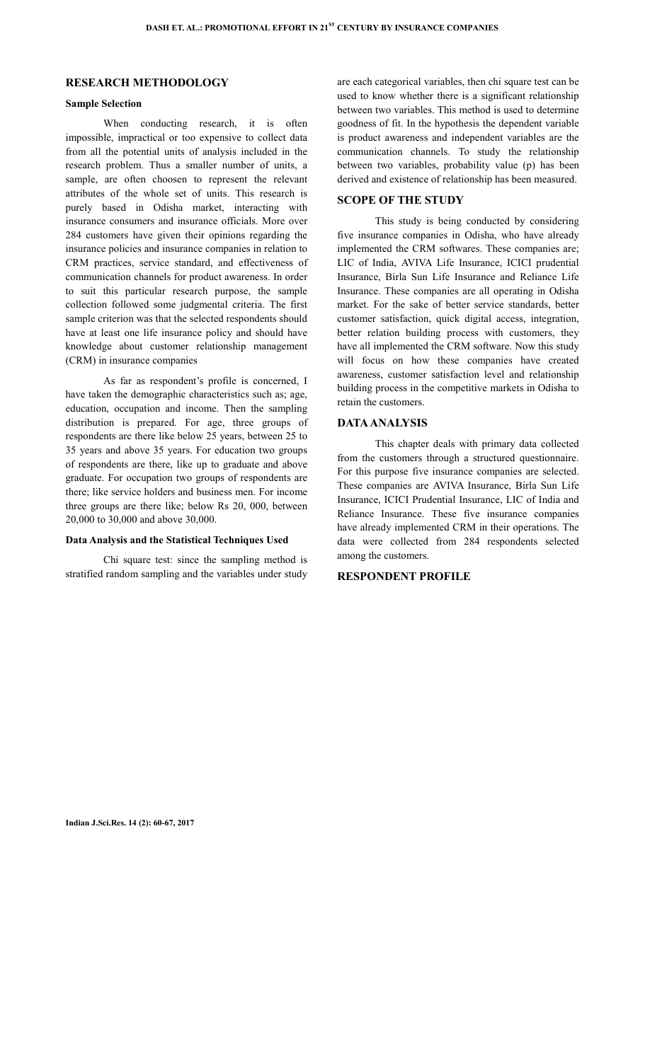# **RESEARCH METHODOLOGY**

## **Sample Selection**

When conducting research, it is often impossible, impractical or too expensive to collect data from all the potential units of analysis included in the research problem. Thus a smaller number of units, a sample, are often choosen to represent the relevant attributes of the whole set of units. This research is purely based in Odisha market, interacting with insurance consumers and insurance officials. More over 284 customers have given their opinions regarding the insurance policies and insurance companies in relation to CRM practices, service standard, and effectiveness of communication channels for product awareness. In order to suit this particular research purpose, the sample collection followed some judgmental criteria. The first sample criterion was that the selected respondents should have at least one life insurance policy and should have knowledge about customer relationship management (CRM) in insurance companies

 As far as respondent's profile is concerned, I have taken the demographic characteristics such as; age, education, occupation and income. Then the sampling distribution is prepared. For age, three groups of respondents are there like below 25 years, between 25 to 35 years and above 35 years. For education two groups of respondents are there, like up to graduate and above graduate. For occupation two groups of respondents are there; like service holders and business men. For income three groups are there like; below Rs 20, 000, between 20,000 to 30,000 and above 30,000.

#### **Data Analysis and the Statistical Techniques Used**

 Chi square test: since the sampling method is stratified random sampling and the variables under study are each categorical variables, then chi square test can be used to know whether there is a significant relationship between two variables. This method is used to determine goodness of fit. In the hypothesis the dependent variable is product awareness and independent variables are the communication channels. To study the relationship between two variables, probability value (p) has been derived and existence of relationship has been measured.

## **SCOPE OF THE STUDY**

 This study is being conducted by considering five insurance companies in Odisha, who have already implemented the CRM softwares. These companies are; LIC of India, AVIVA Life Insurance, ICICI prudential Insurance, Birla Sun Life Insurance and Reliance Life Insurance. These companies are all operating in Odisha market. For the sake of better service standards, better customer satisfaction, quick digital access, integration, better relation building process with customers, they have all implemented the CRM software. Now this study will focus on how these companies have created awareness, customer satisfaction level and relationship building process in the competitive markets in Odisha to retain the customers.

## **DATA ANALYSIS**

 This chapter deals with primary data collected from the customers through a structured questionnaire. For this purpose five insurance companies are selected. These companies are AVIVA Insurance, Birla Sun Life Insurance, ICICI Prudential Insurance, LIC of India and Reliance Insurance. These five insurance companies have already implemented CRM in their operations. The data were collected from 284 respondents selected among the customers.

#### **RESPONDENT PROFILE**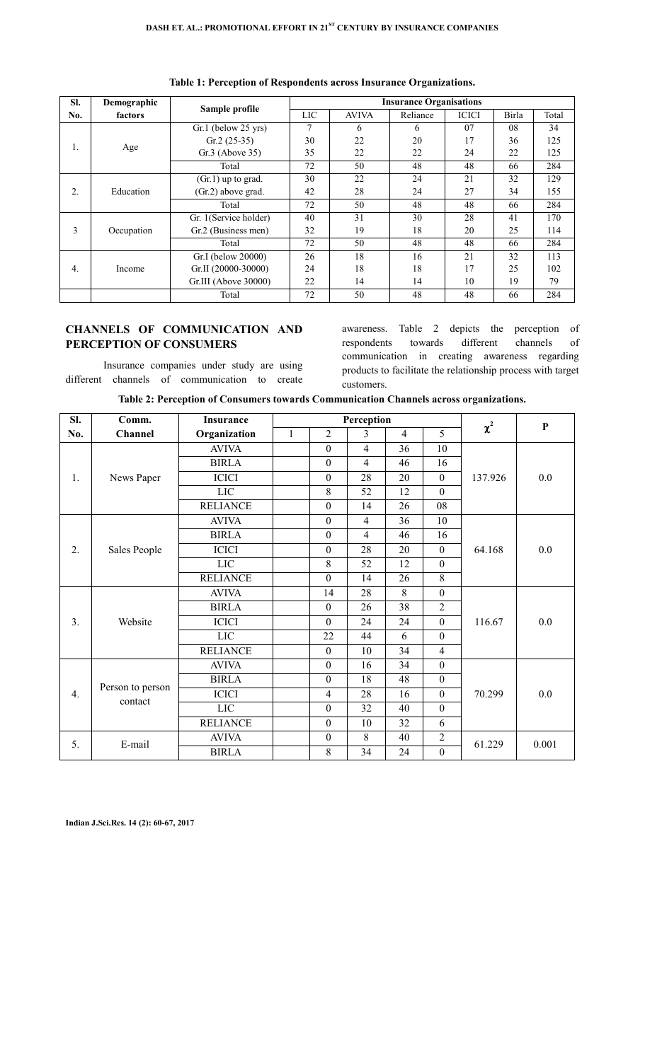| SI.              | Demographic |                       | <b>Insurance Organisations</b> |              |          |              |       |       |  |  |
|------------------|-------------|-----------------------|--------------------------------|--------------|----------|--------------|-------|-------|--|--|
| No.              | factors     | Sample profile        | LIC                            | <b>AVIVA</b> | Reliance | <b>ICICI</b> | Birla | Total |  |  |
| 1.               | Age         | $Gr.1$ (below 25 yrs) | 7                              | 6            | 6        | 07           | 08    | 34    |  |  |
|                  |             | $Gr.2(25-35)$         | 30                             | 22           | 20       | 17           | 36    | 125   |  |  |
|                  |             | $Gr.3$ (Above 35)     | 35                             | 22           | 22       | 24           | 22    | 125   |  |  |
|                  |             | Total                 | 72                             | 50           | 48       | 48           | 66    | 284   |  |  |
|                  | Education   | $(Gr.1)$ up to grad.  | 30                             | 22           | 24       | 21           | 32    | 129   |  |  |
| 2.               |             | (Gr.2) above grad.    | 42                             | 28           | 24       | 27           | 34    | 155   |  |  |
|                  |             | Total                 | 72                             | 50           | 48       | 48           | 66    | 284   |  |  |
|                  | Occupation  | Gr. 1(Service holder) | 40                             | 31           | 30       | 28           | 41    | 170   |  |  |
| 3                |             | Gr.2 (Business men)   | 32                             | 19           | 18       | 20           | 25    | 114   |  |  |
|                  |             | Total                 | 72                             | 50           | 48       | 48           | 66    | 284   |  |  |
|                  |             | Gr.I (below 20000)    | 26                             | 18           | 16       | 21           | 32    | 113   |  |  |
| $\overline{4}$ . | Income      | Gr.II (20000-30000)   | 24                             | 18           | 18       | 17           | 25    | 102   |  |  |
|                  |             | Gr.III (Above 30000)  | 22                             | 14           | 14       | 10           | 19    | 79    |  |  |
|                  |             | Total                 | 72                             | 50           | 48       | 48           | 66    | 284   |  |  |

**Table 1: Perception of Respondents across Insurance Organizations.** 

# **CHANNELS OF COMMUNICATION AND PERCEPTION OF CONSUMERS**

 Insurance companies under study are using different channels of communication to create

awareness. Table 2 depicts the perception of respondents towards different channels of communication in creating awareness regarding products to facilitate the relationship process with target customers.

| Table 2: Perception of Consumers towards Communication Channels across organizations. |  |  |  |  |
|---------------------------------------------------------------------------------------|--|--|--|--|
|---------------------------------------------------------------------------------------|--|--|--|--|

| SI. | Comm.                       | <b>Insurance</b> | Perception   |                  |                |                |                  | $\chi^2$ | $\mathbf{P}$ |
|-----|-----------------------------|------------------|--------------|------------------|----------------|----------------|------------------|----------|--------------|
| No. | Channel                     | Organization     | $\mathbf{1}$ | $\overline{2}$   | 3              | $\overline{4}$ | 5                |          |              |
| 1.  | News Paper                  | <b>AVIVA</b>     |              | $\mathbf{0}$     | $\overline{4}$ | 36             | 10               | 137.926  | 0.0          |
|     |                             | <b>BIRLA</b>     |              | $\boldsymbol{0}$ | $\overline{4}$ | 46             | 16               |          |              |
|     |                             | <b>ICICI</b>     |              | $\boldsymbol{0}$ | 28             | 20             | $\boldsymbol{0}$ |          |              |
|     |                             | LIC              |              | 8                | 52             | 12             | $\mathbf{0}$     |          |              |
|     |                             | <b>RELIANCE</b>  |              | $\theta$         | 14             | 26             | 08               |          |              |
|     |                             | <b>AVIVA</b>     |              | $\mathbf{0}$     | $\overline{4}$ | 36             | 10               |          | 0.0          |
| 2.  | Sales People                | <b>BIRLA</b>     |              | $\mathbf{0}$     | $\overline{4}$ | 46             | 16               | 64.168   |              |
|     |                             | <b>ICICI</b>     |              | $\mathbf{0}$     | 28             | 20             | $\mathbf{0}$     |          |              |
|     |                             | <b>LIC</b>       |              | 8                | 52             | 12             | $\mathbf{0}$     |          |              |
|     |                             | <b>RELIANCE</b>  |              | $\mathbf{0}$     | 14             | 26             | 8                |          |              |
|     | Website                     | <b>AVIVA</b>     |              | 14               | 28             | 8              | $\boldsymbol{0}$ | 116.67   | 0.0          |
|     |                             | <b>BIRLA</b>     |              | $\boldsymbol{0}$ | 26             | 38             | $\overline{2}$   |          |              |
| 3.  |                             | <b>ICICI</b>     |              | $\theta$         | 24             | 24             | $\mathbf{0}$     |          |              |
|     |                             | <b>LIC</b>       |              | 22               | 44             | 6              | $\theta$         |          |              |
|     |                             | <b>RELIANCE</b>  |              | $\theta$         | 10             | 34             | $\overline{4}$   |          |              |
|     |                             | <b>AVIVA</b>     |              | $\mathbf{0}$     | 16             | 34             | $\boldsymbol{0}$ |          |              |
| 4.  | Person to person<br>contact | <b>BIRLA</b>     |              | $\mathbf{0}$     | 18             | 48             | $\boldsymbol{0}$ |          |              |
|     |                             | <b>ICICI</b>     |              | $\overline{4}$   | 28             | 16             | $\boldsymbol{0}$ | 70.299   | 0.0          |
|     |                             | <b>LIC</b>       |              | $\mathbf{0}$     | 32             | 40             | $\boldsymbol{0}$ |          |              |
|     |                             | <b>RELIANCE</b>  |              | $\boldsymbol{0}$ | 10             | 32             | 6                |          |              |
|     |                             | <b>AVIVA</b>     |              | $\boldsymbol{0}$ | 8              | 40             | $\overline{2}$   |          | 0.001        |
| 5.  | E-mail                      | <b>BIRLA</b>     |              | 8                | 34             | 24             | $\boldsymbol{0}$ | 61.229   |              |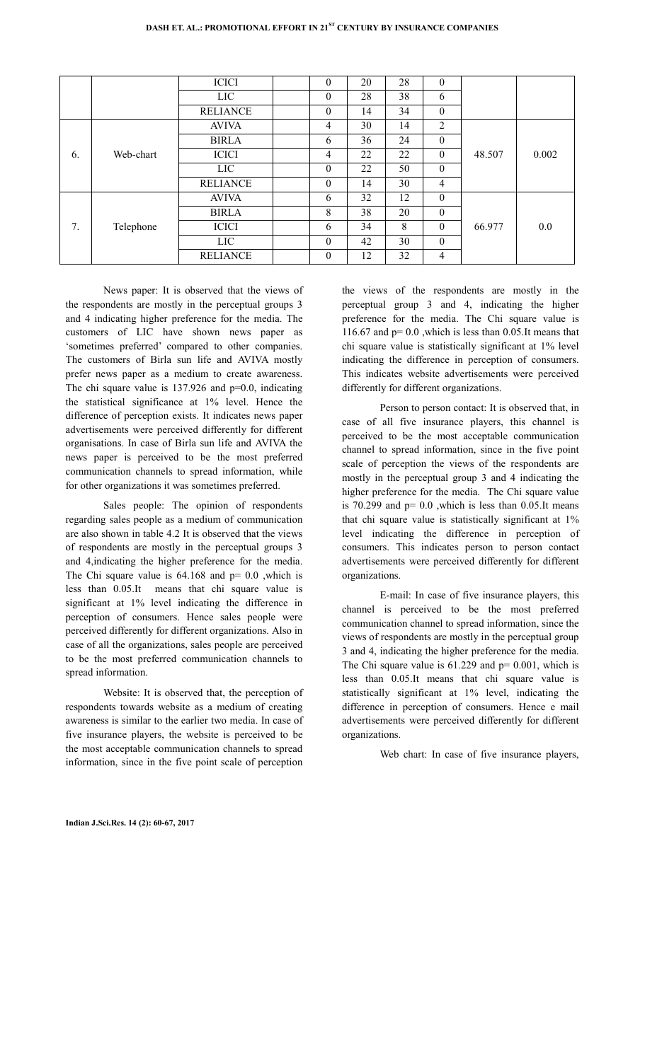|    |           | <b>ICICI</b>    | $\boldsymbol{0}$ | 20 | 28 | $\mathbf{0}$     |        |       |
|----|-----------|-----------------|------------------|----|----|------------------|--------|-------|
|    |           | LIC.            | 0                | 28 | 38 | 6                |        |       |
|    |           | <b>RELIANCE</b> | $\theta$         | 14 | 34 | $\boldsymbol{0}$ |        |       |
|    |           | <b>AVIVA</b>    | 4                | 30 | 14 | 2                |        |       |
|    |           | <b>BIRLA</b>    | 6                | 36 | 24 | $\boldsymbol{0}$ |        |       |
| 6. | Web-chart | <b>ICICI</b>    | 4                | 22 | 22 | $\boldsymbol{0}$ | 48.507 | 0.002 |
|    |           | <b>LIC</b>      | $\theta$         | 22 | 50 | $\mathbf{0}$     |        |       |
|    |           | <b>RELIANCE</b> | $\theta$         | 14 | 30 | $\overline{4}$   |        |       |
|    |           | <b>AVIVA</b>    | 6                | 32 | 12 | $\boldsymbol{0}$ |        |       |
| 7. | Telephone | <b>BIRLA</b>    | 8                | 38 | 20 | $\boldsymbol{0}$ |        |       |
|    |           | <b>ICICI</b>    | 6                | 34 | 8  | $\mathbf{0}$     | 66.977 | 0.0   |
|    |           | <b>LIC</b>      | $\theta$         | 42 | 30 | $\mathbf{0}$     |        |       |
|    |           | <b>RELIANCE</b> | $\theta$         | 12 | 32 | $\overline{4}$   |        |       |

 News paper: It is observed that the views of the respondents are mostly in the perceptual groups 3 and 4 indicating higher preference for the media. The customers of LIC have shown news paper as 'sometimes preferred' compared to other companies. The customers of Birla sun life and AVIVA mostly prefer news paper as a medium to create awareness. The chi square value is  $137.926$  and  $p=0.0$ , indicating the statistical significance at 1% level. Hence the difference of perception exists. It indicates news paper advertisements were perceived differently for different organisations. In case of Birla sun life and AVIVA the news paper is perceived to be the most preferred communication channels to spread information, while for other organizations it was sometimes preferred.

 Sales people: The opinion of respondents regarding sales people as a medium of communication are also shown in table 4.2 It is observed that the views of respondents are mostly in the perceptual groups 3 and 4,indicating the higher preference for the media. The Chi square value is  $64.168$  and  $p = 0.0$ , which is less than 0.05.It means that chi square value is significant at 1% level indicating the difference in perception of consumers. Hence sales people were perceived differently for different organizations. Also in case of all the organizations, sales people are perceived to be the most preferred communication channels to spread information.

 Website: It is observed that, the perception of respondents towards website as a medium of creating awareness is similar to the earlier two media. In case of five insurance players, the website is perceived to be the most acceptable communication channels to spread information, since in the five point scale of perception the views of the respondents are mostly in the perceptual group 3 and 4, indicating the higher preference for the media. The Chi square value is 116.67 and  $p= 0.0$ , which is less than 0.05. It means that chi square value is statistically significant at 1% level indicating the difference in perception of consumers. This indicates website advertisements were perceived differently for different organizations.

 Person to person contact: It is observed that, in case of all five insurance players, this channel is perceived to be the most acceptable communication channel to spread information, since in the five point scale of perception the views of the respondents are mostly in the perceptual group 3 and 4 indicating the higher preference for the media. The Chi square value is 70.299 and  $p = 0.0$ , which is less than 0.05.It means that chi square value is statistically significant at 1% level indicating the difference in perception of consumers. This indicates person to person contact advertisements were perceived differently for different organizations.

 E-mail: In case of five insurance players, this channel is perceived to be the most preferred communication channel to spread information, since the views of respondents are mostly in the perceptual group 3 and 4, indicating the higher preference for the media. The Chi square value is  $61.229$  and  $p= 0.001$ , which is less than 0.05.It means that chi square value is statistically significant at 1% level, indicating the difference in perception of consumers. Hence e mail advertisements were perceived differently for different organizations.

Web chart: In case of five insurance players,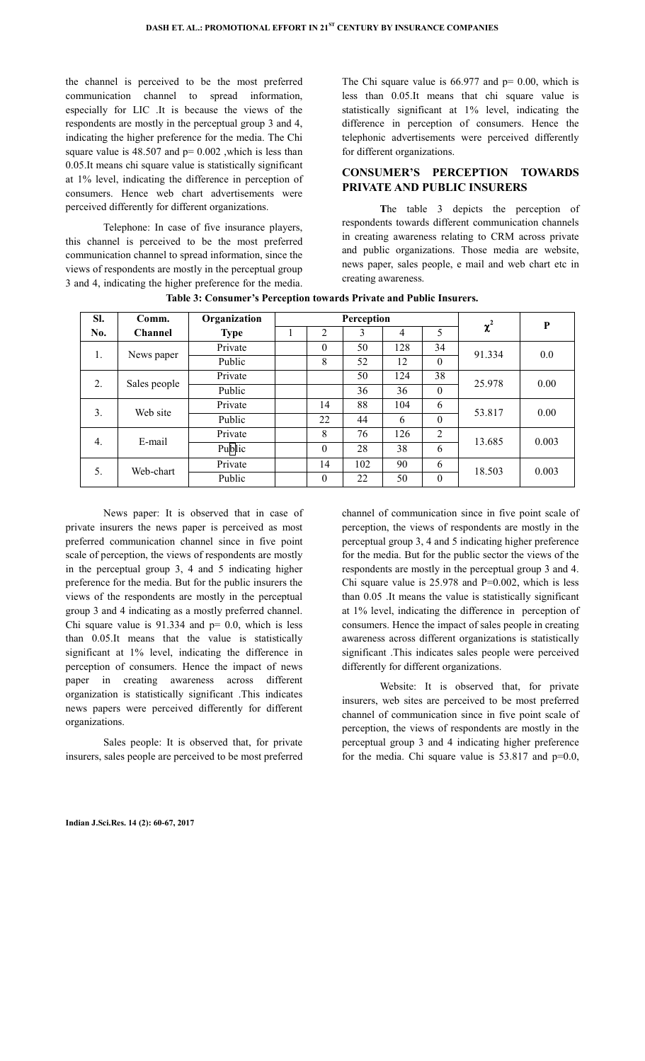the channel is perceived to be the most preferred communication channel to spread information, especially for LIC .It is because the views of the respondents are mostly in the perceptual group 3 and 4, indicating the higher preference for the media. The Chi square value is  $48.507$  and  $p = 0.002$ , which is less than 0.05.It means chi square value is statistically significant at 1% level, indicating the difference in perception of consumers. Hence web chart advertisements were perceived differently for different organizations.

 Telephone: In case of five insurance players, this channel is perceived to be the most preferred communication channel to spread information, since the views of respondents are mostly in the perceptual group 3 and 4, indicating the higher preference for the media. The Chi square value is  $66.977$  and  $p = 0.00$ , which is less than 0.05.It means that chi square value is statistically significant at 1% level, indicating the difference in perception of consumers. Hence the telephonic advertisements were perceived differently for different organizations.

# **CONSUMER'S PERCEPTION TOWARDS PRIVATE AND PUBLIC INSURERS**

 **T**he table 3 depicts the perception of respondents towards different communication channels in creating awareness relating to CRM across private and public organizations. Those media are website, news paper, sales people, e mail and web chart etc in creating awareness.

| SI.              | Comm.          | Organization | Perception |          |     |     |              | $\chi^2$ | $\bf P$ |
|------------------|----------------|--------------|------------|----------|-----|-----|--------------|----------|---------|
| No.              | <b>Channel</b> | <b>Type</b>  |            | 2        | 3   | 4   | 5            |          |         |
| 1.               | News paper     | Private      |            | $\theta$ | 50  | 128 | 34           | 91.334   | 0.0     |
|                  |                | Public       |            | 8        | 52  | 12  | $\theta$     |          |         |
| 2.               | Sales people   | Private      |            |          | 50  | 124 | 38           | 25.978   | 0.00    |
|                  |                | Public       |            |          | 36  | 36  | $\mathbf{0}$ |          |         |
| 3.               | Web site       | Private      |            | 14       | 88  | 104 | 6            | 53.817   | 0.00    |
|                  |                | Public       |            | 22       | 44  | 6   | $\theta$     |          |         |
| $\overline{4}$ . | E-mail         | Private      |            | 8        | 76  | 126 | 2            | 13.685   | 0.003   |
|                  |                | Public       |            | $\theta$ | 28  | 38  | 6            |          |         |
| 5.               | Web-chart      | Private      |            | 14       | 102 | 90  | 6            | 18.503   | 0.003   |
|                  |                | Public       |            | $\theta$ | 22  | 50  | $\theta$     |          |         |

**Table 3: Consumer's Perception towards Private and Public Insurers.** 

 News paper: It is observed that in case of private insurers the news paper is perceived as most preferred communication channel since in five point scale of perception, the views of respondents are mostly in the perceptual group 3, 4 and 5 indicating higher preference for the media. But for the public insurers the views of the respondents are mostly in the perceptual group 3 and 4 indicating as a mostly preferred channel. Chi square value is  $91.334$  and  $p= 0.0$ , which is less than 0.05.It means that the value is statistically significant at 1% level, indicating the difference in perception of consumers. Hence the impact of news paper in creating awareness across different organization is statistically significant .This indicates news papers were perceived differently for different organizations.

 Sales people: It is observed that, for private insurers, sales people are perceived to be most preferred channel of communication since in five point scale of perception, the views of respondents are mostly in the perceptual group 3, 4 and 5 indicating higher preference for the media. But for the public sector the views of the respondents are mostly in the perceptual group 3 and 4. Chi square value is  $25.978$  and  $P=0.002$ , which is less than 0.05 .It means the value is statistically significant at 1% level, indicating the difference in perception of consumers. Hence the impact of sales people in creating awareness across different organizations is statistically significant .This indicates sales people were perceived differently for different organizations.

 Website: It is observed that, for private insurers, web sites are perceived to be most preferred channel of communication since in five point scale of perception, the views of respondents are mostly in the perceptual group 3 and 4 indicating higher preference for the media. Chi square value is  $53.817$  and  $p=0.0$ ,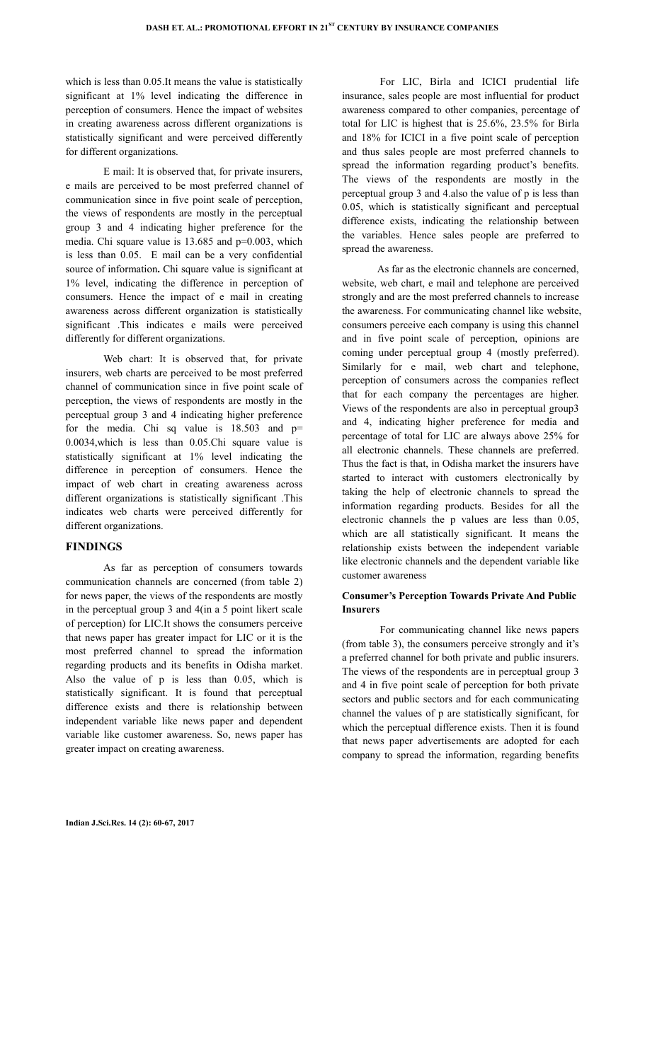which is less than 0.05.It means the value is statistically significant at 1% level indicating the difference in perception of consumers. Hence the impact of websites in creating awareness across different organizations is statistically significant and were perceived differently for different organizations.

 E mail: It is observed that, for private insurers, e mails are perceived to be most preferred channel of communication since in five point scale of perception, the views of respondents are mostly in the perceptual group 3 and 4 indicating higher preference for the media. Chi square value is 13.685 and p=0.003, which is less than 0.05. E mail can be a very confidential source of information**.** Chi square value is significant at 1% level, indicating the difference in perception of consumers. Hence the impact of e mail in creating awareness across different organization is statistically significant .This indicates e mails were perceived differently for different organizations.

 Web chart: It is observed that, for private insurers, web charts are perceived to be most preferred channel of communication since in five point scale of perception, the views of respondents are mostly in the perceptual group 3 and 4 indicating higher preference for the media. Chi sq value is  $18.503$  and  $p=$ 0.0034,which is less than 0.05.Chi square value is statistically significant at 1% level indicating the difference in perception of consumers. Hence the impact of web chart in creating awareness across different organizations is statistically significant .This indicates web charts were perceived differently for different organizations.

## **FINDINGS**

 As far as perception of consumers towards communication channels are concerned (from table 2) for news paper, the views of the respondents are mostly in the perceptual group 3 and 4(in a 5 point likert scale of perception) for LIC.It shows the consumers perceive that news paper has greater impact for LIC or it is the most preferred channel to spread the information regarding products and its benefits in Odisha market. Also the value of p is less than 0.05, which is statistically significant. It is found that perceptual difference exists and there is relationship between independent variable like news paper and dependent variable like customer awareness. So, news paper has greater impact on creating awareness.

 For LIC, Birla and ICICI prudential life insurance, sales people are most influential for product awareness compared to other companies, percentage of total for LIC is highest that is 25.6%, 23.5% for Birla and 18% for ICICI in a five point scale of perception and thus sales people are most preferred channels to spread the information regarding product's benefits. The views of the respondents are mostly in the perceptual group 3 and 4.also the value of p is less than 0.05, which is statistically significant and perceptual difference exists, indicating the relationship between the variables. Hence sales people are preferred to spread the awareness.

 As far as the electronic channels are concerned, website, web chart, e mail and telephone are perceived strongly and are the most preferred channels to increase the awareness. For communicating channel like website, consumers perceive each company is using this channel and in five point scale of perception, opinions are coming under perceptual group 4 (mostly preferred). Similarly for e mail, web chart and telephone, perception of consumers across the companies reflect that for each company the percentages are higher. Views of the respondents are also in perceptual group3 and 4, indicating higher preference for media and percentage of total for LIC are always above 25% for all electronic channels. These channels are preferred. Thus the fact is that, in Odisha market the insurers have started to interact with customers electronically by taking the help of electronic channels to spread the information regarding products. Besides for all the electronic channels the p values are less than 0.05, which are all statistically significant. It means the relationship exists between the independent variable like electronic channels and the dependent variable like customer awareness

## **Consumer's Perception Towards Private And Public Insurers**

 For communicating channel like news papers (from table 3), the consumers perceive strongly and it's a preferred channel for both private and public insurers. The views of the respondents are in perceptual group 3 and 4 in five point scale of perception for both private sectors and public sectors and for each communicating channel the values of p are statistically significant, for which the perceptual difference exists. Then it is found that news paper advertisements are adopted for each company to spread the information, regarding benefits